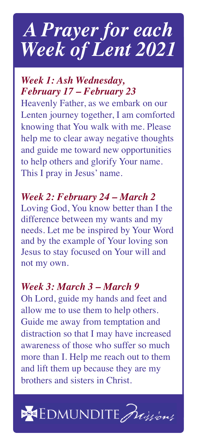# *A Prayer for each Week of Lent 2021*

## *Week 1: Ash Wednesday, February 17 – February 23*

Heavenly Father, as we embark on our Lenten journey together, I am comforted knowing that You walk with me. Please help me to clear away negative thoughts and guide me toward new opportunities to help others and glorify Your name. This I pray in Jesus' name.

# *Week 2: February 24 – March 2*

Loving God, You know better than I the difference between my wants and my needs. Let me be inspired by Your Word and by the example of Your loving son Jesus to stay focused on Your will and not my own.

#### *Week 3: March 3 – March 9*

Oh Lord, guide my hands and feet and allow me to use them to help others. Guide me away from temptation and distraction so that I may have increased awareness of those who suffer so much more than I. Help me reach out to them and lift them up because they are my brothers and sisters in Christ.